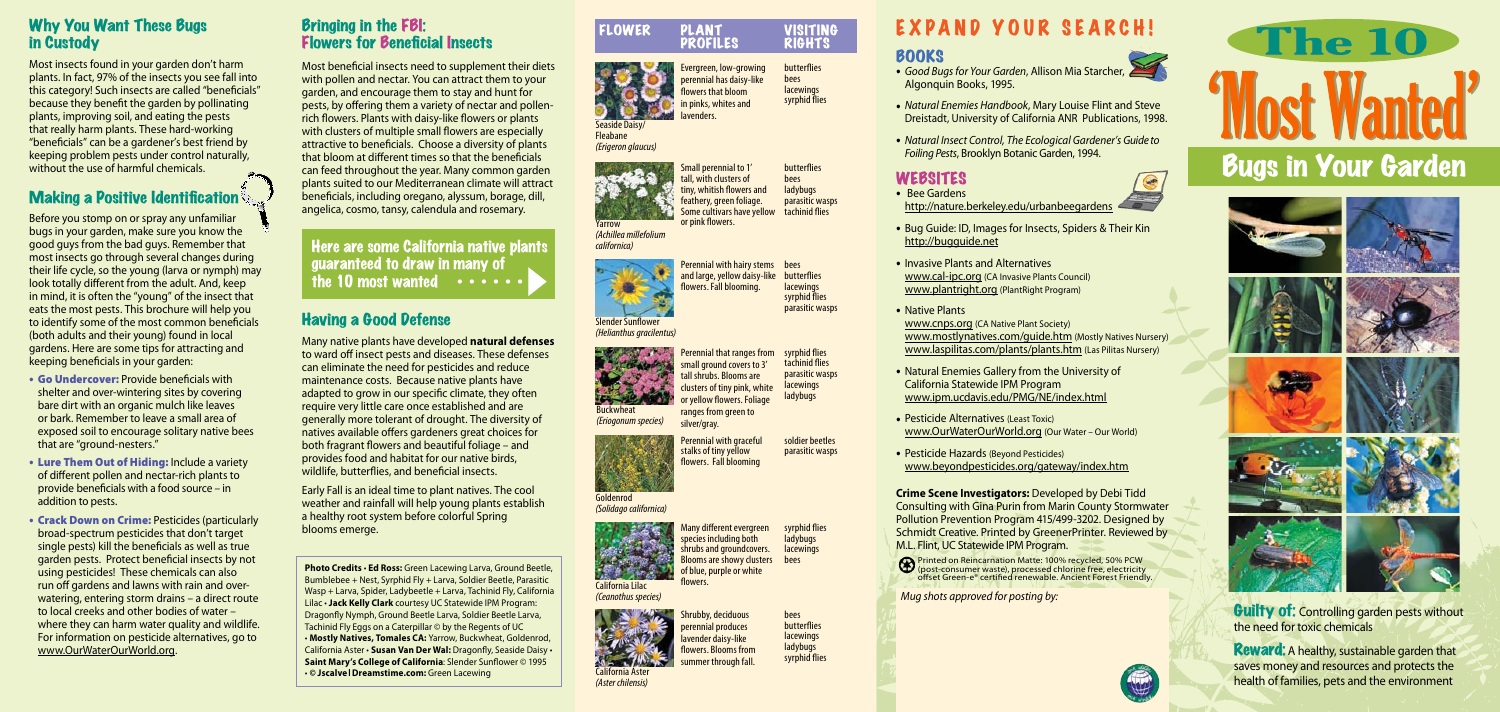- Algonquin Books, 1995.
- 
- 

## WEBSITES<br>• Bee Gardens

• *Natural Enemies Handbook*, Mary Louise Flint and Steve Dreistadt, University of California ANR Publications, 1998.

- - http://bugguide.net
	- Invasive Plants and Alternatives
	- Native Plants
	-
	-
	-

• *Natural Insect Control, The Ecological Gardener's Guide to Foiling Pests*, Brooklyn Botanic Garden, 1994.



http://nature.berkeley.edu/urbanbeegardens

• Bug Guide: ID, Images for Insects, Spiders & Their Kin

• Natural Enemies Gallery from the University of California Statewide IPM Program www.ipm.ucdavis.edu/PMG/NE/index.html

• Pesticide Alternatives (Least Toxic) www.OurWaterOurWorld.org (Our Water – Our World)

• Pesticide Hazards (Beyond Pesticides) www.beyondpesticides.org/gateway/index.htm

www.cal-ipc.org (CA Invasive Plants Council) www.plantright.org (PlantRight Program)

www.cnps.org (CA Native Plant Society) www.mostlynatives.com/guide.htm (Mostly Natives Nursery) www.laspilitas.com/plants/plants.htm (Las Pilitas Nursery)

> **Guilty of: Controlling garden pests without** the need for toxic chemicals

**Reward:** A healthy, sustainable garden that saves money and resources and protects the health of families, pets and the environment

**Crime Scene Investigators:** Developed by Debi Tidd Consulting with Gina Purin from Marin County Stormwater Pollution Prevention Program 415/499-3202. Designed by Schmidt Creative. Printed by GreenerPrinter. Reviewed by M.L. Flint, UC Statewide IPM Program.



**BOOKS**<br>• *Good Bugs for Your Garden*, Allison Mia Starcher,

### Why You Want These Bugs in Custody

Most insects found in your garden don't harm plants. In fact, 97% of the insects you see fall into this category! Such insects are called "beneficials" because they benefit the garden by pollinating plants, improving soil, and eating the pests that really harm plants. These hard-working "beneficials" can be a gardener's best friend by keeping problem pests under control naturally, without the use of harmful chemicals.

## **Making a Positive Identification**

Slender Sunflower *(Helianthus gracilentus)*

Before you stomp on or spray any unfamiliar bugs in your garden, make sure you know the good guys from the bad guys. Remember that most insects go through several changes during their life cycle, so the young (larva or nymph) may look totally different from the adult. And, keep in mind, it is often the "young" of the insect that eats the most pests. This brochure will help you to identify some of the most common beneficials (both adults and their young) found in local gardens. Here are some tips for attracting and keeping beneficials in your garden:

Some cultivars have yellow tachinid flies butterflies bees ladybugs parasitic wasps

> **lacewings** syrphid flies parasitic wasps

Perennial with hairy stems bees and large, yellow daisy-like butterflies flowers. Fall blooming.

- Go Undercover: Provide beneficials with shelter and over-wintering sites by covering bare dirt with an organic mulch like leaves or bark. Remember to leave a small area of exposed soil to encourage solitary native bees that are "ground-nesters."
- Lure Them Out of Hiding: Include <sup>a</sup> variety of different pollen and nectar-rich plants to provide beneficials with a food source – in addition to pests.
- Crack Down on Crime: Pesticides (particularly broad-spectrum pesticides that don't target single pests) kill the beneficials as well as true garden pests. Protect beneficial insects by not using pesticides! These chemicals can also run off gardens and lawns with rain and overwatering, entering storm drains – a direct route to local creeks and other bodies of water – where they can harm water quality and wildlife. For information on pesticide alternatives, go to www.OurWaterOurWorld.org.

Blooms are showy clusters of blue, purple or white flowers.

# **The 10** 'Most Wanted' Bugs in Your Garden





















or pink flowers.

Many different evergreen species including both shrubs and groundcovers. syrphid flies **ladybugs** lacewings bees

Evergreen, low-growing perennial has daisy-like flowers that bloom in pinks, whites and butterflies

ranges from green to silver/gray.

lavenders. bees **lacewings** syrphid flies





*(Erigeron glaucus)*

Yarrow

*(Achillea millefolium* 



Shrubby, deciduous perennial produces lavender daisy-like flowers. Blooms from summer through fall. bees butterflies lacewings ladybugs syrphid flies

# EXPAND YOUR SEARCH!

Perennial that ranges from small ground covers to 3' tall shrubs. Blooms are clusters of tiny pink, white or yellow flowers. Foliage syrphid flies tachinid flies parasitic wasps **lacewings** ladybugs



*(Ceanothus species)*



*(Aster chilensis)*



Perennial with graceful soldier beetles

*(Eriogonum species)*

Goldenrod *(Solidago californica)* parasitic wasps

#### Bringing in the FBI: Flowers for Beneficial Insects

Most beneficial insects need to supplement their diets with pollen and nectar. You can attract them to your garden, and encourage them to stay and hunt for pests, by offering them a variety of nectar and pollenrich flowers. Plants with daisy-like flowers or plants with clusters of multiple small flowers are especially attractive to beneficials. Choose a diversity of plants that bloom at different times so that the beneficials can feed throughout the year. Many common garden plants suited to our Mediterranean climate will attract beneficials, including oregano, alyssum, borage, dill, angelica, cosmo, tansy, calendula and rosemary.

Here are some California native plants guaranteed to draw in many of the 10 most wanted

### Having a Good Defense

Many native plants have developed **natural defenses** to ward off insect pests and diseases. These defenses can eliminate the need for pesticides and reduce maintenance costs. Because native plants have adapted to grow in our specific climate, they often require very little care once established and are generally more tolerant of drought. The diversity of natives available offers gardeners great choices for both fragrant flowers and beautiful foliage – and provides food and habitat for our native birds, wildlife, butterflies, and beneficial insects.

Early Fall is an ideal time to plant natives. The cool weather and rainfall will help young plants establish a healthy root system before colorful Spring blooms emerge.

**Photo Credits** • **Ed Ross:** Green Lacewing Larva, Ground Beetle, Bumblebee + Nest, Syrphid Fly + Larva, Soldier Beetle, Parasitic Wasp + Larva, Spider, Ladybeetle + Larva, Tachinid Fly, California Lilac • **Jack Kelly Clark** courtesy UC Statewide IPM Program: Dragonfly Nymph, Ground Beetle Larva, Soldier Beetle Larva, Tachinid Fly Eggs on a Caterpillar © by the Regents of UC • **Mostly Natives, Tomales CA:** Yarrow, Buckwheat, Goldenrod, California Aster • **Susan Van Der Wal:** Dragonfly, Seaside Daisy • **Saint Mary's College of California**: Slender Sunflower © 1995 • **© JscalvelDreamstime.com:** Green Lacewing

#### FLOWER PLANT VISITING<br>PROFILES RIGHTS **PROFILES**

*Mug shots approved for posting by:*



Printed on Reincarnation Matte: 100% recycled, 50% PCW (post-consumer waste), processed chlorine free, electricity offset Green-e® certified renewable. Ancient Forest Friendly.